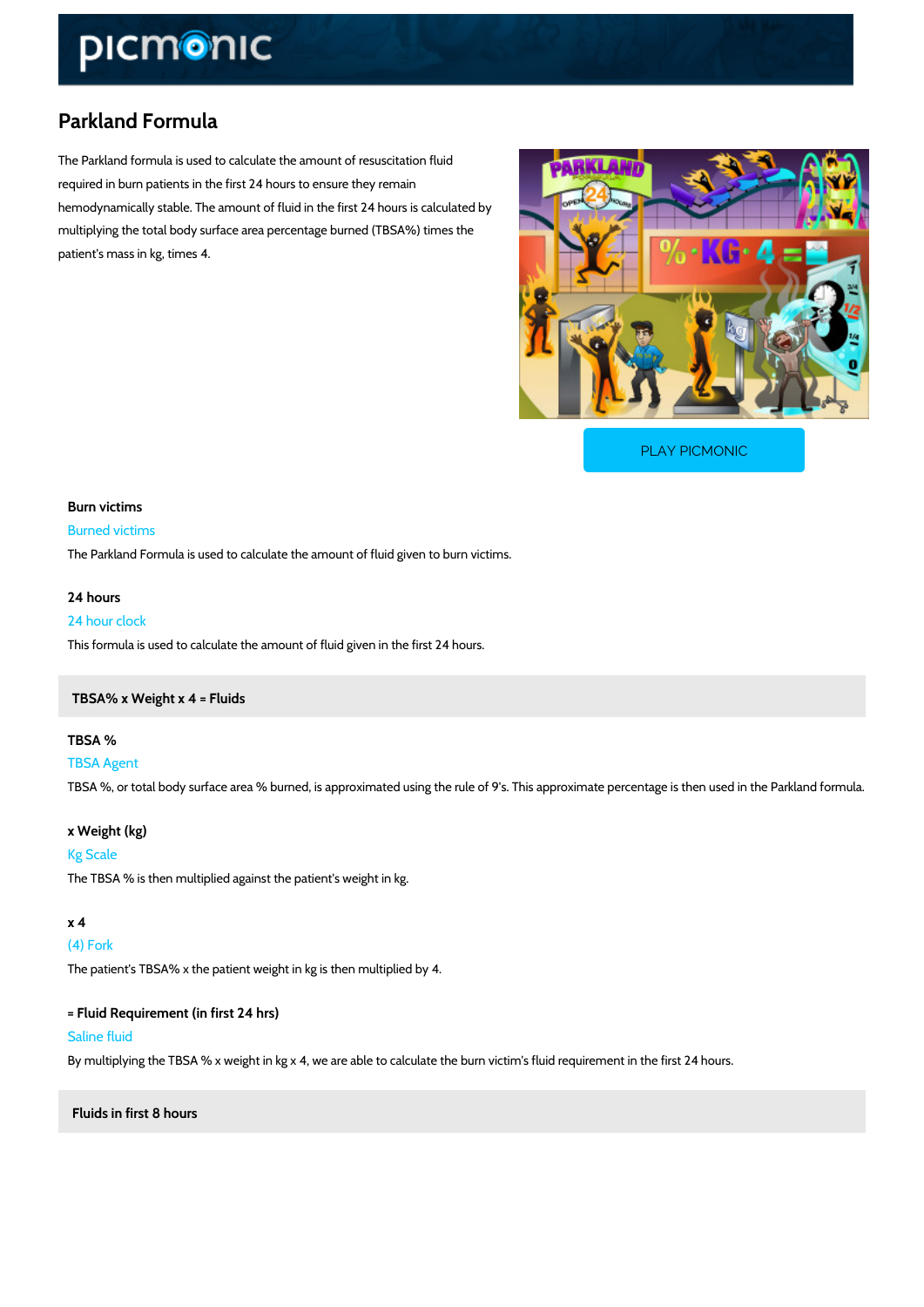## Parkland Formula

The Parkland formula is used to calculate the amount of resuscitation fluid required in burn patients in the first 24 hours to ensure they remain hemodynamically stable. The amount of fluid in the first 24 hours is calculated by multiplying the total body surface area percentage burned (TBSA%) times the patient's mass in kg, times 4.

[PLAY PICMONIC](https://www.picmonic.com/learn/parkland-formula_1377?utm_source=downloadable_content&utm_medium=distributedcontent&utm_campaign=pathways_pdf&utm_content=Parkland Formula&utm_ad_group=leads&utm_market=all)

Burn victims Burned victims The Parkland Formula is used to calculate the amount of fluid given to burn victims. 24 hours

24 hour clock This formula is used to calculate the amount of fluid given in the first 24 hours.

TBSA% x Weight x 4 = Fluids

TBSA % TBSA Agent TBSA %, or total body surface area % burned, is approximated using the rule of 9's. This appi

x Weight (kg) Kg Scale The TBSA % is then multiplied against the patient's weight in kg.

x 4 (4) Fork The patient's TBSA% x the patient weight in kg is then multiplied by 4.

= Fluid Requirement (in first 24 hrs) Saline fluid By multiplying the TBSA % x weight in kg x 4, we are able to calculate the burn victim's fluid

Fluids in first 8 hours